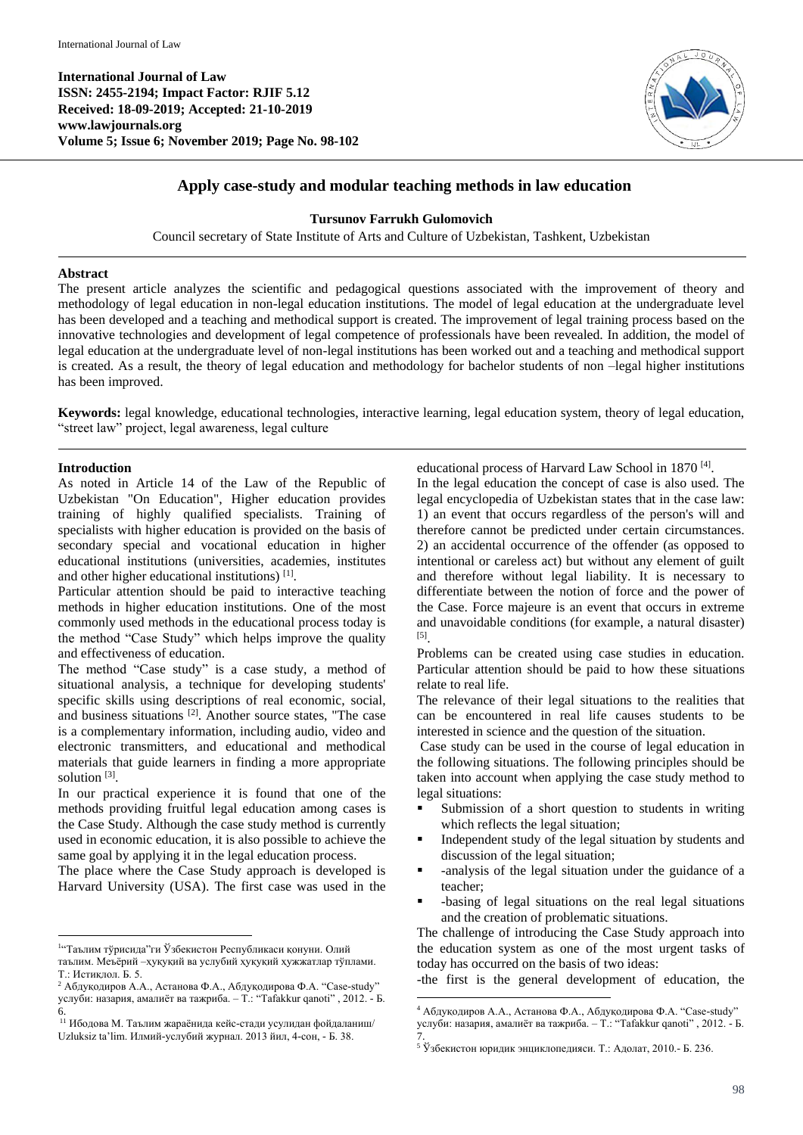**International Journal of Law ISSN: 2455-2194; Impact Factor: RJIF 5.12 Received: 18-09-2019; Accepted: 21-10-2019 www.lawjournals.org Volume 5; Issue 6; November 2019; Page No. 98-102**



## **Apply case-study and modular teaching methods in law education**

### **Tursunov Farrukh Gulomovich**

Council secretary of State Institute of Arts and Culture of Uzbekistan, Tashkent, Uzbekistan

#### **Abstract**

The present article analyzes the scientific and pedagogical questions associated with the improvement of theory and methodology of legal education in non-legal education institutions. The model of legal education at the undergraduate level has been developed and a teaching and methodical support is created. The improvement of legal training process based on the innovative technologies and development of legal competence of professionals have been revealed. In addition, the model of legal education at the undergraduate level of non-legal institutions has been worked out and a teaching and methodical support is created. As a result, the theory of legal education and methodology for bachelor students of non –legal higher institutions has been improved.

**Keywords:** legal knowledge, educational technologies, interactive learning, legal education system, theory of legal education, "street law" project, legal awareness, legal culture

 $\overline{a}$ 

### **Introduction**

As noted in Article 14 of the Law of the Republic of Uzbekistan "On Education", Higher education provides training of highly qualified specialists. Training of specialists with higher education is provided on the basis of secondary special and vocational education in higher educational institutions (universities, academies, institutes and other higher educational institutions)<sup>[1]</sup>.

Particular attention should be paid to interactive teaching methods in higher education institutions. One of the most commonly used methods in the educational process today is the method "Case Study" which helps improve the quality and effectiveness of education.

The method "Case study" is a case study, a method of situational analysis, a technique for developing students' specific skills using descriptions of real economic, social, and business situations [2] . Another source states, "The case is a complementary information, including audio, video and electronic transmitters, and educational and methodical materials that guide learners in finding a more appropriate solution<sup>[3]</sup>.

In our practical experience it is found that one of the methods providing fruitful legal education among cases is the Case Study. Although the case study method is currently used in economic education, it is also possible to achieve the same goal by applying it in the legal education process.

The place where the Case Study approach is developed is Harvard University (USA). The first case was used in the educational process of Harvard Law School in 1870<sup>[4]</sup>.

In the legal education the concept of case is also used. The legal encyclopedia of Uzbekistan states that in the case law: 1) an event that occurs regardless of the person's will and therefore cannot be predicted under certain circumstances. 2) an accidental occurrence of the offender (as opposed to intentional or careless act) but without any element of guilt and therefore without legal liability. It is necessary to differentiate between the notion of force and the power of the Case. Force majeure is an event that occurs in extreme and unavoidable conditions (for example, a natural disaster) [5] .

Problems can be created using case studies in education. Particular attention should be paid to how these situations relate to real life.

The relevance of their legal situations to the realities that can be encountered in real life causes students to be interested in science and the question of the situation.

Case study can be used in the course of legal education in the following situations. The following principles should be taken into account when applying the case study method to legal situations:

- Submission of a short question to students in writing which reflects the legal situation;
- Independent study of the legal situation by students and discussion of the legal situation;
- -analysis of the legal situation under the guidance of a teacher;
- -basing of legal situations on the real legal situations and the creation of problematic situations.

The challenge of introducing the Case Study approach into the education system as one of the most urgent tasks of today has occurred on the basis of two ideas:

-the first is the general development of education, the

 $\overline{a}$ 1 "Таълим тўрисида"ги Ўзбекистон Республикаси қонуни. Олий таълим. Меъёрий –ҳуқуқий ва услубий ҳуқуқий ҳужжатлар тўплами. Т.: Истиқлол. Б. 5.

<sup>&</sup>lt;sup>2</sup> Абдуқодиров А.А., Астанова Ф.А., Абдуқодирова Ф.А. "Case-study" услуби: назария, амалиёт ва тажриба. – Т.: "Tafakkur qanoti" , 2012. - Б. 6.

<sup>&</sup>lt;sup>11</sup> Ибодова М. Таълим жараёнида кейс-стади усулидан фойдаланиш/ Uzluksiz ta'lim. Илмий-услубий журнал. 2013 йил, 4-сон, - Б. 38.

<sup>4</sup> Абдуқодиров А.А., Астанова Ф.А., Абдуқодирова Ф.А. "Case-study" услуби: назария, амалиёт ва тажриба. – Т.: "Tafakkur qanoti" , 2012. - Б. 7.

 $5$  Ўзбекистон юридик энциклопедияси. Т.: Адолат, 2010.- Б. 236.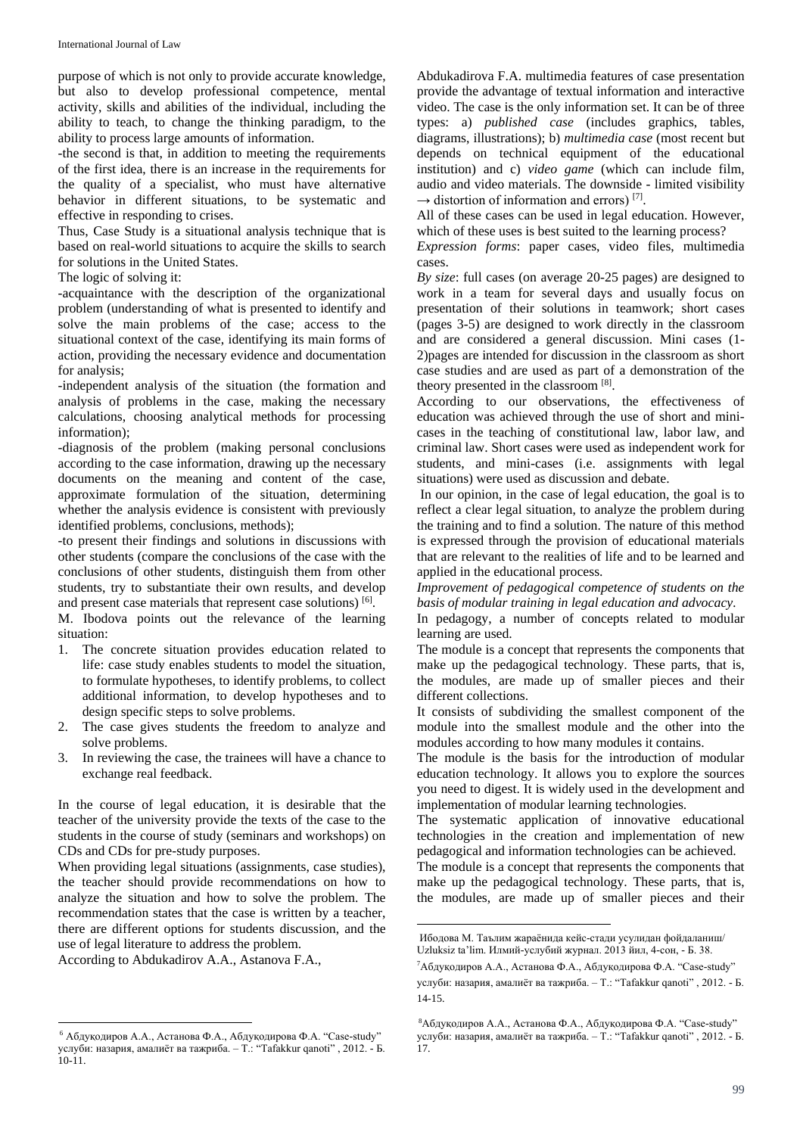purpose of which is not only to provide accurate knowledge, but also to develop professional competence, mental activity, skills and abilities of the individual, including the ability to teach, to change the thinking paradigm, to the ability to process large amounts of information.

-the second is that, in addition to meeting the requirements of the first idea, there is an increase in the requirements for the quality of a specialist, who must have alternative behavior in different situations, to be systematic and effective in responding to crises.

Thus, Case Study is a situational analysis technique that is based on real-world situations to acquire the skills to search for solutions in the United States.

The logic of solving it:

-acquaintance with the description of the organizational problem (understanding of what is presented to identify and solve the main problems of the case; access to the situational context of the case, identifying its main forms of action, providing the necessary evidence and documentation for analysis;

-independent analysis of the situation (the formation and analysis of problems in the case, making the necessary calculations, choosing analytical methods for processing information);

-diagnosis of the problem (making personal conclusions according to the case information, drawing up the necessary documents on the meaning and content of the case, approximate formulation of the situation, determining whether the analysis evidence is consistent with previously identified problems, conclusions, methods);

-to present their findings and solutions in discussions with other students (compare the conclusions of the case with the conclusions of other students, distinguish them from other students, try to substantiate their own results, and develop and present case materials that represent case solutions) [6].

M. Ibodova points out the relevance of the learning situation:

- 1. The concrete situation provides education related to life: case study enables students to model the situation, to formulate hypotheses, to identify problems, to collect additional information, to develop hypotheses and to design specific steps to solve problems.
- 2. The case gives students the freedom to analyze and solve problems.
- 3. In reviewing the case, the trainees will have a chance to exchange real feedback.

In the course of legal education, it is desirable that the teacher of the university provide the texts of the case to the students in the course of study (seminars and workshops) on CDs and CDs for pre-study purposes.

When providing legal situations (assignments, case studies), the teacher should provide recommendations on how to analyze the situation and how to solve the problem. The recommendation states that the case is written by a teacher, there are different options for students discussion, and the use of legal literature to address the problem.

According to Abdukadirov A.A., Astanova F.A.,

 $\overline{a}$ 

Abdukadirova F.A. multimedia features of case presentation provide the advantage of textual information and interactive video. The case is the only information set. It can be of three types: a) *published case* (includes graphics, tables, diagrams, illustrations); b) *multimedia case* (most recent but depends on technical equipment of the educational institution) and c) *video game* (which can include film, audio and video materials. The downside - limited visibility  $\rightarrow$  distortion of information and errors)<sup>[7]</sup>.

All of these cases can be used in legal education. However, which of these uses is best suited to the learning process?

*Expression forms*: paper cases, video files, multimedia cases.

*By size*: full cases (on average 20-25 pages) are designed to work in a team for several days and usually focus on presentation of their solutions in teamwork; short cases (pages 3-5) are designed to work directly in the classroom and are considered a general discussion. Mini cases (1- 2)pages are intended for discussion in the classroom as short case studies and are used as part of a demonstration of the theory presented in the classroom [8].

According to our observations, the effectiveness of education was achieved through the use of short and minicases in the teaching of constitutional law, labor law, and criminal law. Short cases were used as independent work for students, and mini-cases (i.e. assignments with legal situations) were used as discussion and debate.

In our opinion, in the case of legal education, the goal is to reflect a clear legal situation, to analyze the problem during the training and to find a solution. The nature of this method is expressed through the provision of educational materials that are relevant to the realities of life and to be learned and applied in the educational process.

*Improvement of pedagogical competence of students on the basis of modular training in legal education and advocacy.*

In pedagogy, a number of concepts related to modular learning are used.

The module is a concept that represents the components that make up the pedagogical technology. These parts, that is, the modules, are made up of smaller pieces and their different collections.

It consists of subdividing the smallest component of the module into the smallest module and the other into the modules according to how many modules it contains.

The module is the basis for the introduction of modular education technology. It allows you to explore the sources you need to digest. It is widely used in the development and implementation of modular learning technologies.

The systematic application of innovative educational technologies in the creation and implementation of new pedagogical and information technologies can be achieved.

The module is a concept that represents the components that make up the pedagogical technology. These parts, that is, the modules, are made up of smaller pieces and their

1

<sup>6</sup> Абдуқодиров А.А., Астанова Ф.А., Абдуқодирова Ф.А. "Case-study" услуби: назария, амалиёт ва тажриба. – Т.: "Tafakkur qanoti" , 2012. - Б. 10-11.

Ибодова М. Таълим жараёнида кейс-стади усулидан фойдаланиш/ Uzluksiz ta'lim. Илмий-услубий журнал. 2013 йил, 4-сон, - Б. 38.

<sup>7</sup>Абдуқодиров А.А., Астанова Ф.А., Абдуқодирова Ф.А. "Case-study" услуби: назария, амалиёт ва тажриба. – Т.: "Tafakkur qanoti" , 2012. - Б. 14-15.

<sup>8</sup>Абдуқодиров А.А., Астанова Ф.А., Абдуқодирова Ф.А. "Case-study" услуби: назария, амалиёт ва тажриба. – Т.: "Tafakkur qanoti" , 2012. - Б. 17.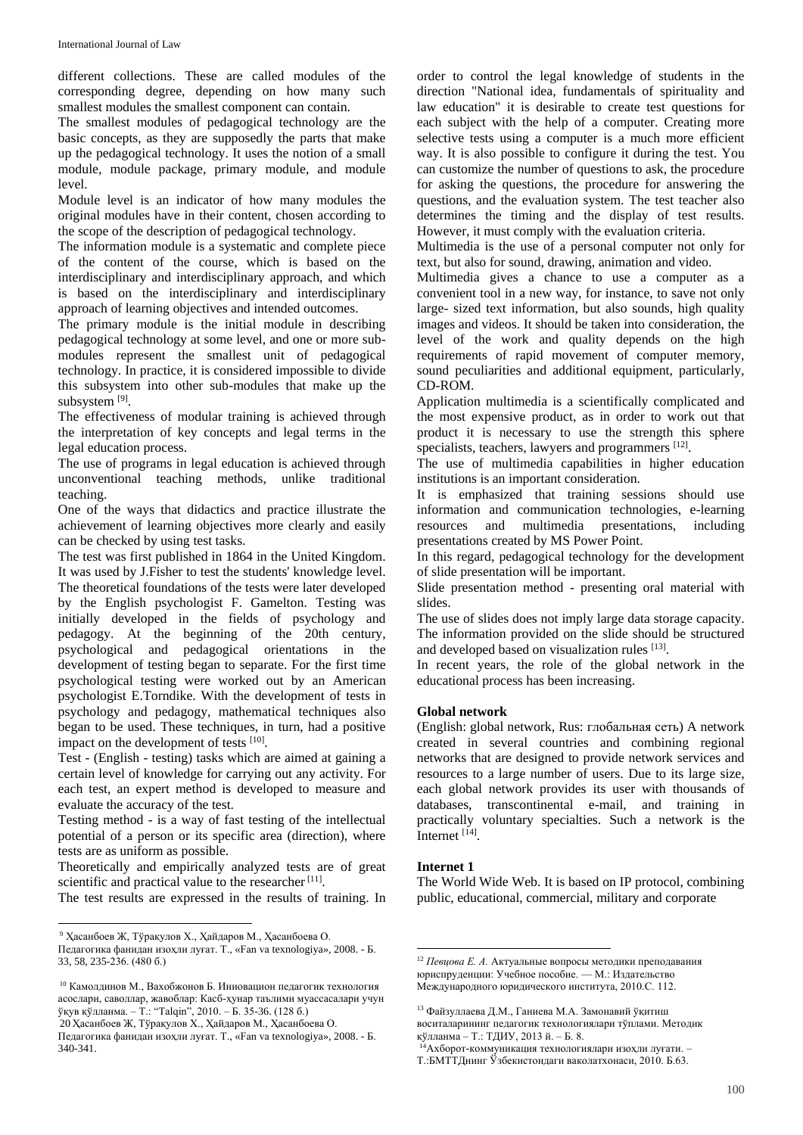different collections. These are called modules of the corresponding degree, depending on how many such smallest modules the smallest component can contain.

The smallest modules of pedagogical technology are the basic concepts, as they are supposedly the parts that make up the pedagogical technology. It uses the notion of a small module, module package, primary module, and module level.

Module level is an indicator of how many modules the original modules have in their content, chosen according to the scope of the description of pedagogical technology.

The information module is a systematic and complete piece of the content of the course, which is based on the interdisciplinary and interdisciplinary approach, and which is based on the interdisciplinary and interdisciplinary approach of learning objectives and intended outcomes.

The primary module is the initial module in describing pedagogical technology at some level, and one or more submodules represent the smallest unit of pedagogical technology. In practice, it is considered impossible to divide this subsystem into other sub-modules that make up the subsystem [9].

The effectiveness of modular training is achieved through the interpretation of key concepts and legal terms in the legal education process.

The use of programs in legal education is achieved through unconventional teaching methods, unlike traditional teaching.

One of the ways that didactics and practice illustrate the achievement of learning objectives more clearly and easily can be checked by using test tasks.

The test was first published in 1864 in the United Kingdom. It was used by J.Fisher to test the students' knowledge level. The theoretical foundations of the tests were later developed by the English psychologist F. Gamelton. Testing was initially developed in the fields of psychology and pedagogy. At the beginning of the 20th century, psychological and pedagogical orientations in the development of testing began to separate. For the first time psychological testing were worked out by an American psychologist E.Torndike. With the development of tests in psychology and pedagogy, mathematical techniques also began to be used. These techniques, in turn, had a positive impact on the development of tests [10].

Test - (English - testing) tasks which are aimed at gaining a certain level of knowledge for carrying out any activity. For each test, an expert method is developed to measure and evaluate the accuracy of the test.

Testing method - is a way of fast testing of the intellectual potential of a person or its specific area (direction), where tests are as uniform as possible.

Theoretically and empirically analyzed tests are of great scientific and practical value to the researcher<sup>[11]</sup>.

The test results are expressed in the results of training. In

 $\ddot{\phantom{a}}$ 

20 Ҳасанбоев Ж, Тўрақулов Х., Ҳайдаров М., Ҳасанбоева О.

order to control the legal knowledge of students in the direction "National idea, fundamentals of spirituality and law education" it is desirable to create test questions for each subject with the help of a computer. Creating more selective tests using a computer is a much more efficient way. It is also possible to configure it during the test. You can customize the number of questions to ask, the procedure for asking the questions, the procedure for answering the questions, and the evaluation system. The test teacher also determines the timing and the display of test results. However, it must comply with the evaluation criteria.

Multimedia is the use of a personal computer not only for text, but also for sound, drawing, animation and video.

Multimedia gives a chance to use a computer as a convenient tool in a new way, for instance, to save not only large- sized text information, but also sounds, high quality images and videos. It should be taken into consideration, the level of the work and quality depends on the high requirements of rapid movement of computer memory, sound peculiarities and additional equipment, particularly, CD-ROM.

Application multimedia is a scientifically complicated and the most expensive product, as in order to work out that product it is necessary to use the strength this sphere specialists, teachers, lawyers and programmers [12].

The use of multimedia capabilities in higher education institutions is an important consideration.

It is emphasized that training sessions should use information and communication technologies, e-learning resources and multimedia presentations, including presentations created by MS Power Point.

In this regard, pedagogical technology for the development of slide presentation will be important.

Slide presentation method - presenting oral material with slides.

The use of slides does not imply large data storage capacity. The information provided on the slide should be structured and developed based on visualization rules [13].

In recent years, the role of the global network in the educational process has been increasing.

# **Global network**

(English: global network, Rus: глобальная сеть) A network created in several countries and combining regional networks that are designed to provide network services and resources to a large number of users. Due to its large size, each global network provides its user with thousands of databases, transcontinental e-mail, and training in practically voluntary specialties. Such a network is the Internet<sup>[14]</sup>.

## **Internet 1**

1

The World Wide Web. It is based on IP protocol, combining public, educational, commercial, military and corporate

<sup>9</sup> Ҳасанбоев Ж, Тўрақулов Х., Ҳайдаров М., Ҳасанбоева О.

Педагогика фанидан изоҳли луғат. Т., «Fan va texnologiya», 2008. - Б. 33, 58, 235-236. (480 б.)

<sup>10</sup> Камолдинов М., Вахобжонов Б. Инновацион педагогик технология асослари, саволлар, жавоблар: Касб-ҳунар таълими муассасалари учун ўқув қўлланма. – Т.: "Talqin", 2010. – Б. 35-36. (128 б.)

Педагогика фанидан изоҳли луғат. Т., «Fan va texnologiya», 2008. - Б. 340-341.

<sup>12</sup> *Певцова Е. А.* Актуальные вопросы методики преподавания юриспруденции: Учебное пособие. — М.: Издательство Международного юридического института, 2010.С. 112.

<sup>13</sup> Файзуллаева Д.М., Ганиева М.А. Замонавий ўқитиш

воситаларининг педагогик технологиялари тўплами. Методик қўлланма – Т.: ТДИУ, 2013 й. – Б. 8.

<sup>14</sup>Ахборот-коммуникация технологиялари изоҳли луғати. – Т.:БМТТДнинг Ўзбекистондаги ваколатхонаси, 2010. Б.63.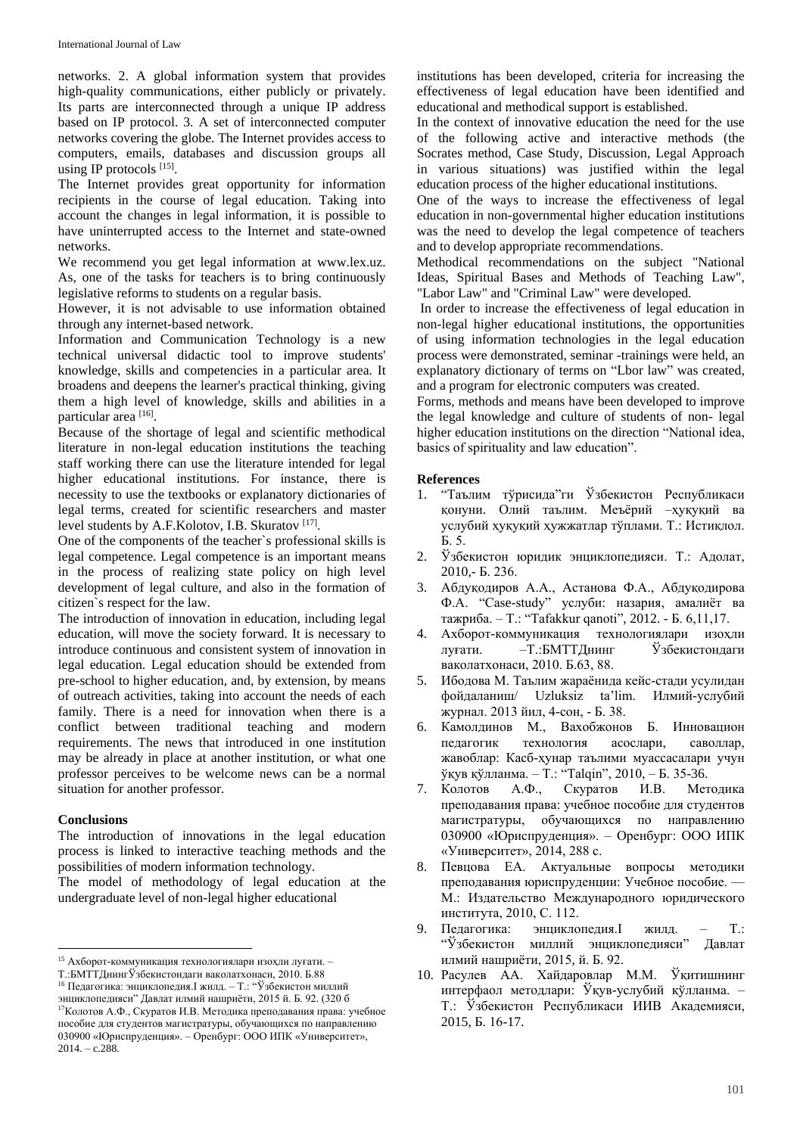networks. 2. A global information system that provides high-quality communications, either publicly or privately. Its parts are interconnected through a unique IP address based on IP protocol. 3. A set of interconnected computer networks covering the globe. The Internet provides access to computers, emails, databases and discussion groups all using IP protocols [15].

The Internet provides great opportunity for information recipients in the course of legal education. Taking into account the changes in legal information, it is possible to have uninterrupted access to the Internet and state-owned networks.

We recommend you get legal information at www.lex.uz. As, one of the tasks for teachers is to bring continuously legislative reforms to students on a regular basis.

However, it is not advisable to use information obtained through any internet-based network.

Information and Communication Technology is a new technical universal didactic tool to improve students' knowledge, skills and competencies in a particular area. It broadens and deepens the learner's practical thinking, giving them a high level of knowledge, skills and abilities in a particular area [16].

Because of the shortage of legal and scientific methodical literature in non-legal education institutions the teaching staff working there can use the literature intended for legal higher educational institutions. For instance, there is necessity to use the textbooks or explanatory dictionaries of legal terms, created for scientific researchers and master level students by A.F.Kolotov, I.B. Skuratov<sup>[17]</sup>.

One of the components of the teacher`s professional skills is legal competence. Legal competence is an important means in the process of realizing state policy on high level development of legal culture, and also in the formation of citizen`s respect for the law.

The introduction of innovation in education, including legal education, will move the society forward. It is necessary to introduce continuous and consistent system of innovation in legal education. Legal education should be extended from pre-school to higher education, and, by extension, by means of outreach activities, taking into account the needs of each family. There is a need for innovation when there is a conflict between traditional teaching and modern requirements. The news that introduced in one institution may be already in place at another institution, or what one professor perceives to be welcome news can be a normal situation for another professor.

#### **Conclusions**

 $\ddot{\phantom{a}}$ 

The introduction of innovations in the legal education process is linked to interactive teaching methods and the possibilities of modern information technology.

The model of methodology of legal education at the undergraduate level of non-legal higher educational

<sup>16</sup> Педагогика: энциклопедия.I жилд. – Т.: "Ўзбекистон миллий

institutions has been developed, criteria for increasing the effectiveness of legal education have been identified and educational and methodical support is established.

In the context of innovative education the need for the use of the following active and interactive methods (the Socrates method, Case Study, Discussion, Legal Approach in various situations) was justified within the legal education process of the higher educational institutions.

One of the ways to increase the effectiveness of legal education in non-governmental higher education institutions was the need to develop the legal competence of teachers and to develop appropriate recommendations.

Methodical recommendations on the subject "National Ideas, Spiritual Bases and Methods of Teaching Law", "Labor Law" and "Criminal Law" were developed.

In order to increase the effectiveness of legal education in non-legal higher educational institutions, the opportunities of using information technologies in the legal education process were demonstrated, seminar -trainings were held, an explanatory dictionary of terms on "Lbor law" was created, and a program for electronic computers was created.

Forms, methods and means have been developed to improve the legal knowledge and culture of students of non- legal higher education institutions on the direction "National idea, basics of spirituality and law education".

### **References**

- 1. "Таълим тўрисида"ги Ўзбекистон Республикаси қонуни. Олий таълим. Меъёрий –ҳуқуқий ва услубий ҳуқуқий ҳужжатлар тўплами. Т.: Истиқлол. Б. 5.
- 2. Ўзбекистон юридик энциклопедияси. Т.: Адолат, 2010,- Б. 236.
- 3. Абдуқодиров А.А., Астанова Ф.А., Абдуқодирова Ф.А. "Case-study" услуби: назария, амалиёт ва тажриба. – Т.: "Tafakkur qanoti", 2012. - Б. 6,11,17.
- 4. Ахборот-коммуникация технологиялари изоҳли луғати. –Т.:БМТТДнинг Ўзбекистондаги ваколатхонаси, 2010. Б.63, 88.
- 5. Ибодова М. Таълим жараёнида кейс-стади усулидан фойдаланиш/ Uzluksiz ta'lim. Илмий-услубий журнал. 2013 йил, 4-сон, - Б. 38.
- 6. Камолдинов М., Вахобжонов Б. Инновацион педагогик технология асослари, саволлар, жавоблар: Касб-ҳунар таълими муассасалари учун ўқув қўлланма. – Т.: "Talqin", 2010, – Б. 35-36.
- 7. Колотов А.Ф., Скуратов И.В. Методика преподавания права: учебное пособие для студентов магистратуры, обучающихся по направлению 030900 «Юриспруденция». – Оренбург: ООО ИПК «Университет», 2014, 288 с.
- 8. Певцова ЕА. Актуальные вопросы методики преподавания юриспруденции: Учебное пособие. — М.: Издательство Международного юридического института, 2010, С. 112.
- 9. Педагогика: энциклопедия.I жилд. Т.: "Ўзбекистон миллий энциклопедияси" Давлат илмий нашриёти, 2015, й. Б. 92.
- 10. Расулев АА. Хайдаровлар М.М. Ўқитишнинг интерфаол методлари: Ўқув-услубий қўлланма. – Т.: Ўзбекистон Республикаси ИИВ Академияси, 2015, Б. 16-17.

<sup>15</sup> Ахборот-коммуникация технологиялари изоҳли луғати. –

Т.:БМТТДнингЎзбекистондаги ваколатхонаси, 2010. Б.88

энциклопедияси" Давлат илмий нашриёти, 2015 й. Б. 92. (320 б <sup>17</sup>Колотов А.Ф., Скуратов И.В. Методика преподавания права: учебное пособие для студентов магистратуры, обучающихся по направлению 030900 «Юриспруденция». – Оренбург: ООО ИПК «Университет», 2014. – c.288.